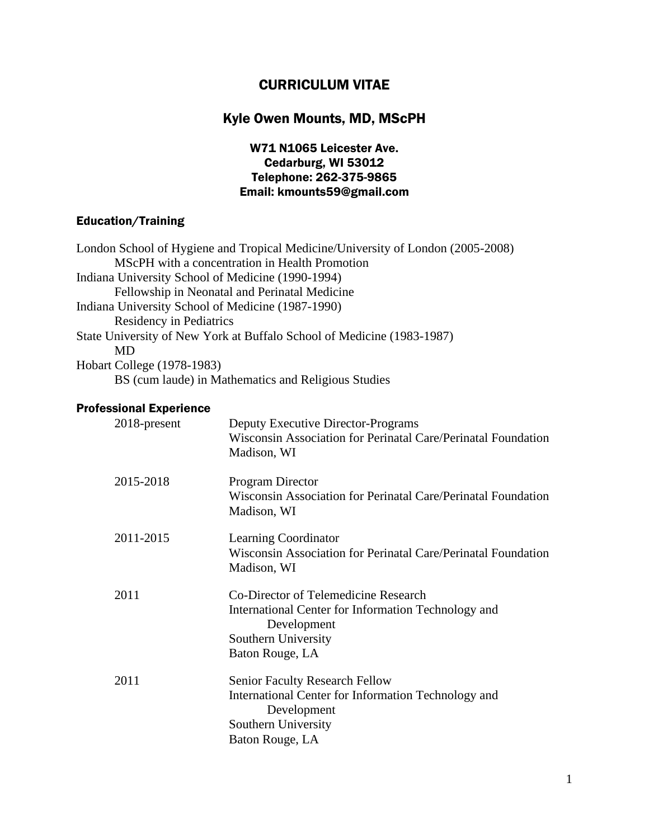# CURRICULUM VITAE

# Kyle Owen Mounts, MD, MScPH

## W71 N1065 Leicester Ave. Cedarburg, WI 53012 Telephone: 262-375-9865 Email: kmounts59@gmail.com

# Education/Training

# Professional Experience

| 2018-present | Deputy Executive Director-Programs<br>Wisconsin Association for Perinatal Care/Perinatal Foundation<br>Madison, WI                                    |
|--------------|-------------------------------------------------------------------------------------------------------------------------------------------------------|
| 2015-2018    | Program Director<br>Wisconsin Association for Perinatal Care/Perinatal Foundation<br>Madison, WI                                                      |
| 2011-2015    | <b>Learning Coordinator</b><br>Wisconsin Association for Perinatal Care/Perinatal Foundation<br>Madison, WI                                           |
| 2011         | Co-Director of Telemedicine Research<br>International Center for Information Technology and<br>Development<br>Southern University<br>Baton Rouge, LA  |
| 2011         | <b>Senior Faculty Research Fellow</b><br>International Center for Information Technology and<br>Development<br>Southern University<br>Baton Rouge, LA |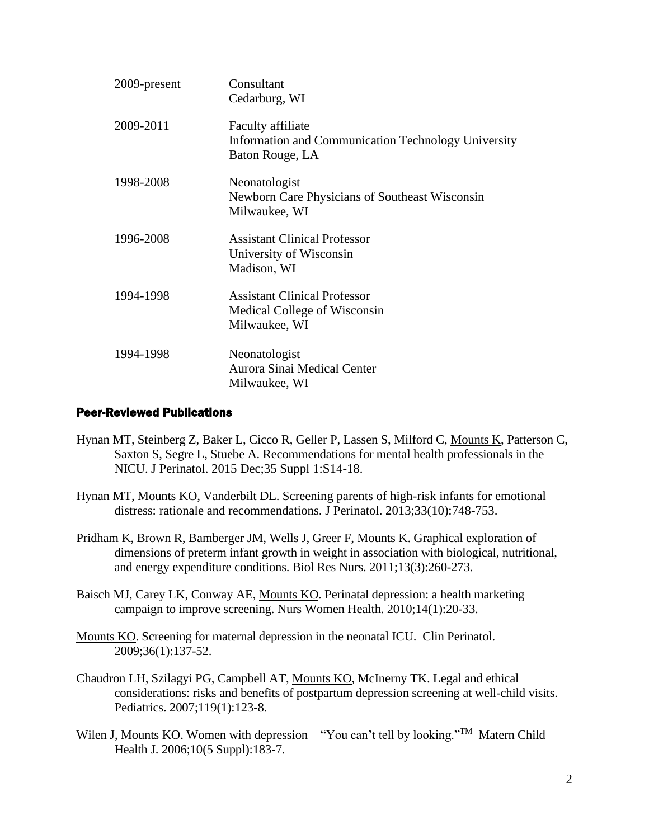| 2009-present | Consultant<br>Cedarburg, WI                                                                 |
|--------------|---------------------------------------------------------------------------------------------|
| 2009-2011    | Faculty affiliate<br>Information and Communication Technology University<br>Baton Rouge, LA |
| 1998-2008    | Neonatologist<br>Newborn Care Physicians of Southeast Wisconsin<br>Milwaukee, WI            |
| 1996-2008    | <b>Assistant Clinical Professor</b><br>University of Wisconsin<br>Madison, WI               |
| 1994-1998    | <b>Assistant Clinical Professor</b><br>Medical College of Wisconsin<br>Milwaukee, WI        |
| 1994-1998    | Neonatologist<br>Aurora Sinai Medical Center<br>Milwaukee, WI                               |

#### Peer-Reviewed Publications

- Hynan MT, Steinberg Z, Baker L, Cicco R, Geller P, Lassen S, Milford C, Mounts K, Patterson C, Saxton S, Segre L, Stuebe A. Recommendations for mental health professionals in the NICU. J Perinatol. 2015 Dec;35 Suppl 1:S14-18.
- Hynan MT, Mounts KO, Vanderbilt DL. Screening parents of high-risk infants for emotional distress: rationale and recommendations. J Perinatol. 2013;33(10):748-753.
- Pridham K, Brown R, Bamberger JM, Wells J, Greer F, Mounts K. Graphical exploration of dimensions of preterm infant growth in weight in association with biological, nutritional, and energy expenditure conditions. Biol Res Nurs. 2011;13(3):260-273.
- Baisch MJ, Carey LK, Conway AE, Mounts KO. Perinatal depression: a health marketing campaign to improve screening. Nurs Women Health. 2010;14(1):20-33.
- Mounts KO. Screening for maternal depression in the neonatal ICU. Clin Perinatol. 2009;36(1):137-52.
- Chaudron LH, Szilagyi PG, Campbell AT, Mounts KO, McInerny TK. Legal and ethical considerations: risks and benefits of postpartum depression screening at well-child visits. Pediatrics. 2007;119(1):123-8.
- Wilen J, Mounts KO. Women with depression—"You can't tell by looking."<sup>TM</sup> Matern Child Health J. 2006;10(5 Suppl):183-7.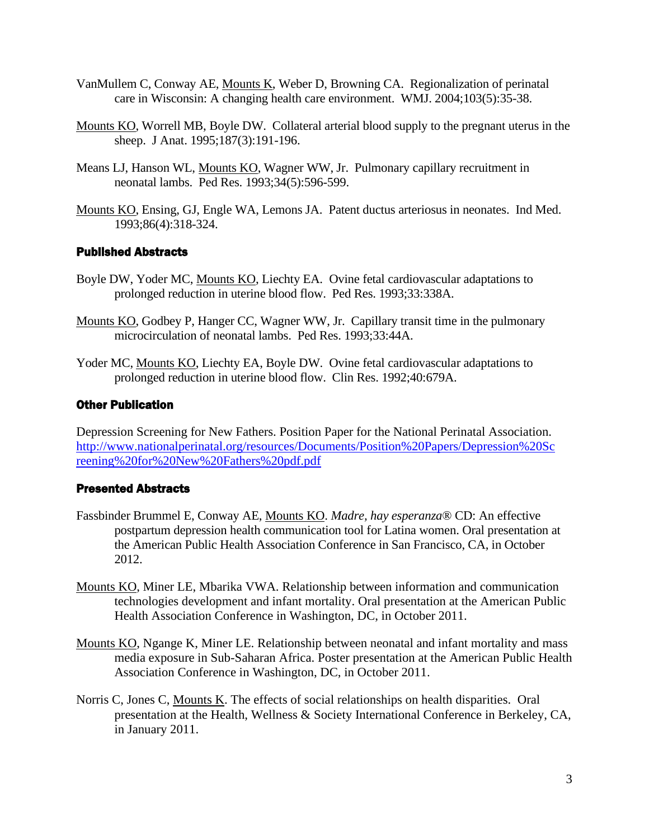- VanMullem C, Conway AE, Mounts K, Weber D, Browning CA. Regionalization of perinatal care in Wisconsin: A changing health care environment. WMJ. 2004;103(5):35-38.
- Mounts KO, Worrell MB, Boyle DW. Collateral arterial blood supply to the pregnant uterus in the sheep. J Anat. 1995;187(3):191-196.
- Means LJ, Hanson WL, Mounts KO, Wagner WW, Jr. Pulmonary capillary recruitment in neonatal lambs. Ped Res. 1993;34(5):596-599.
- Mounts KO, Ensing, GJ, Engle WA, Lemons JA. Patent ductus arteriosus in neonates. Ind Med. 1993;86(4):318-324.

### Published Abstracts

- Boyle DW, Yoder MC, Mounts KO, Liechty EA. Ovine fetal cardiovascular adaptations to prolonged reduction in uterine blood flow. Ped Res. 1993;33:338A.
- Mounts KO, Godbey P, Hanger CC, Wagner WW, Jr. Capillary transit time in the pulmonary microcirculation of neonatal lambs. Ped Res. 1993;33:44A.
- Yoder MC, Mounts KO, Liechty EA, Boyle DW. Ovine fetal cardiovascular adaptations to prolonged reduction in uterine blood flow. Clin Res. 1992;40:679A.

### Other Publication

Depression Screening for New Fathers. Position Paper for the National Perinatal Association. [http://www.nationalperinatal.org/resources/Documents/Position%20Papers/Depression%20Sc](http://www.nationalperinatal.org/resources/Documents/Position%20Papers/Depression%20Screening%20for%20New%20Fathers%20pdf.pdf) [reening%20for%20New%20Fathers%20pdf.pdf](http://www.nationalperinatal.org/resources/Documents/Position%20Papers/Depression%20Screening%20for%20New%20Fathers%20pdf.pdf)

#### Presented Abstracts

- Fassbinder Brummel E, Conway AE, Mounts KO. *Madre, hay esperanza*® CD: An effective postpartum depression health communication tool for Latina women. Oral presentation at the American Public Health Association Conference in San Francisco, CA, in October 2012.
- Mounts KO, Miner LE, Mbarika VWA. Relationship between information and communication technologies development and infant mortality. Oral presentation at the American Public Health Association Conference in Washington, DC, in October 2011.
- Mounts KO, Ngange K, Miner LE. Relationship between neonatal and infant mortality and mass media exposure in Sub-Saharan Africa. Poster presentation at the American Public Health Association Conference in Washington, DC, in October 2011.
- Norris C, Jones C, Mounts K. The effects of social relationships on health disparities. Oral presentation at the Health, Wellness & Society International Conference in Berkeley, CA, in January 2011.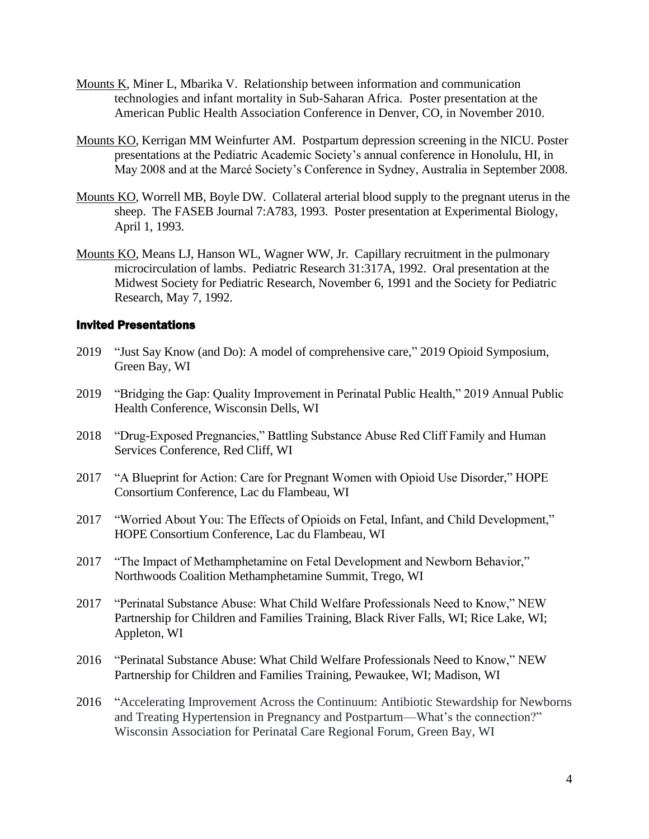- Mounts K, Miner L, Mbarika V. Relationship between information and communication technologies and infant mortality in Sub-Saharan Africa. Poster presentation at the American Public Health Association Conference in Denver, CO, in November 2010.
- Mounts KO, Kerrigan MM Weinfurter AM. Postpartum depression screening in the NICU. Poster presentations at the Pediatric Academic Society's annual conference in Honolulu, HI, in May 2008 and at the Marcé Society's Conference in Sydney, Australia in September 2008.
- Mounts KO, Worrell MB, Boyle DW. Collateral arterial blood supply to the pregnant uterus in the sheep. The FASEB Journal 7:A783, 1993. Poster presentation at Experimental Biology, April 1, 1993.
- Mounts KO, Means LJ, Hanson WL, Wagner WW, Jr. Capillary recruitment in the pulmonary microcirculation of lambs. Pediatric Research 31:317A, 1992. Oral presentation at the Midwest Society for Pediatric Research, November 6, 1991 and the Society for Pediatric Research, May 7, 1992.

#### Invited Presentations

- 2019 "Just Say Know (and Do): A model of comprehensive care," 2019 Opioid Symposium, Green Bay, WI
- 2019 "Bridging the Gap: Quality Improvement in Perinatal Public Health," 2019 Annual Public Health Conference, Wisconsin Dells, WI
- 2018 "Drug-Exposed Pregnancies," Battling Substance Abuse Red Cliff Family and Human Services Conference, Red Cliff, WI
- 2017 "A Blueprint for Action: Care for Pregnant Women with Opioid Use Disorder," HOPE Consortium Conference, Lac du Flambeau, WI
- 2017 "Worried About You: The Effects of Opioids on Fetal, Infant, and Child Development," HOPE Consortium Conference, Lac du Flambeau, WI
- 2017 "The Impact of Methamphetamine on Fetal Development and Newborn Behavior," Northwoods Coalition Methamphetamine Summit, Trego, WI
- 2017 "Perinatal Substance Abuse: What Child Welfare Professionals Need to Know," NEW Partnership for Children and Families Training, Black River Falls, WI; Rice Lake, WI; Appleton, WI
- 2016 "Perinatal Substance Abuse: What Child Welfare Professionals Need to Know," NEW Partnership for Children and Families Training, Pewaukee, WI; Madison, WI
- 2016 "Accelerating Improvement Across the Continuum: Antibiotic Stewardship for Newborns and Treating Hypertension in Pregnancy and Postpartum—What's the connection?" Wisconsin Association for Perinatal Care Regional Forum, Green Bay, WI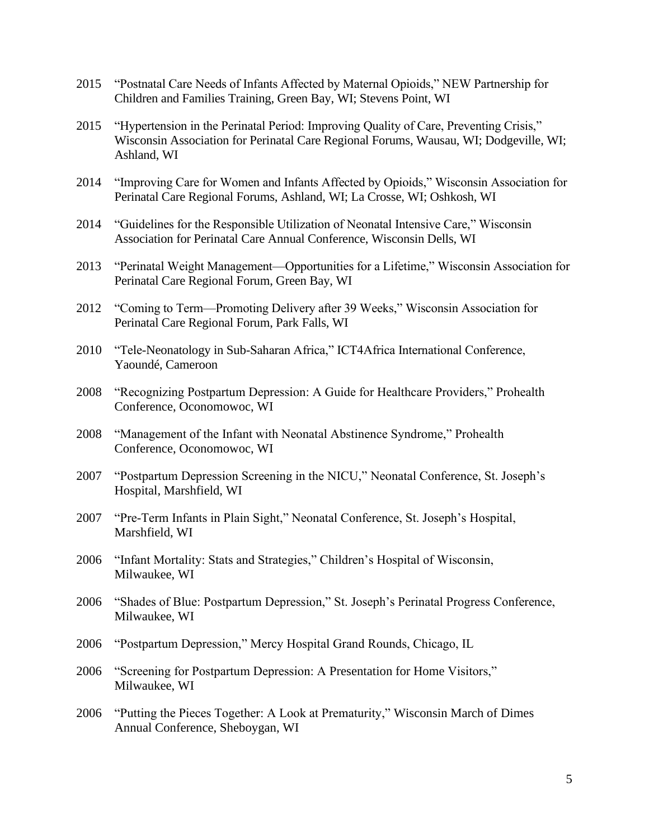- 2015 "Postnatal Care Needs of Infants Affected by Maternal Opioids," NEW Partnership for Children and Families Training, Green Bay, WI; Stevens Point, WI
- 2015 "Hypertension in the Perinatal Period: Improving Quality of Care, Preventing Crisis," Wisconsin Association for Perinatal Care Regional Forums, Wausau, WI; Dodgeville, WI; Ashland, WI
- 2014 "Improving Care for Women and Infants Affected by Opioids," Wisconsin Association for Perinatal Care Regional Forums, Ashland, WI; La Crosse, WI; Oshkosh, WI
- 2014 "Guidelines for the Responsible Utilization of Neonatal Intensive Care," Wisconsin Association for Perinatal Care Annual Conference, Wisconsin Dells, WI
- 2013 "Perinatal Weight Management—Opportunities for a Lifetime," Wisconsin Association for Perinatal Care Regional Forum, Green Bay, WI
- 2012 "Coming to Term—Promoting Delivery after 39 Weeks," Wisconsin Association for Perinatal Care Regional Forum, Park Falls, WI
- 2010 "Tele-Neonatology in Sub-Saharan Africa," ICT4Africa International Conference, Yaoundé, Cameroon
- 2008 "Recognizing Postpartum Depression: A Guide for Healthcare Providers," Prohealth Conference, Oconomowoc, WI
- 2008 "Management of the Infant with Neonatal Abstinence Syndrome," Prohealth Conference, Oconomowoc, WI
- 2007 "Postpartum Depression Screening in the NICU," Neonatal Conference, St. Joseph's Hospital, Marshfield, WI
- 2007 "Pre-Term Infants in Plain Sight," Neonatal Conference, St. Joseph's Hospital, Marshfield, WI
- 2006 "Infant Mortality: Stats and Strategies," Children's Hospital of Wisconsin, Milwaukee, WI
- 2006 "Shades of Blue: Postpartum Depression," St. Joseph's Perinatal Progress Conference, Milwaukee, WI
- 2006 "Postpartum Depression," Mercy Hospital Grand Rounds, Chicago, IL
- 2006 "Screening for Postpartum Depression: A Presentation for Home Visitors," Milwaukee, WI
- 2006 "Putting the Pieces Together: A Look at Prematurity," Wisconsin March of Dimes Annual Conference, Sheboygan, WI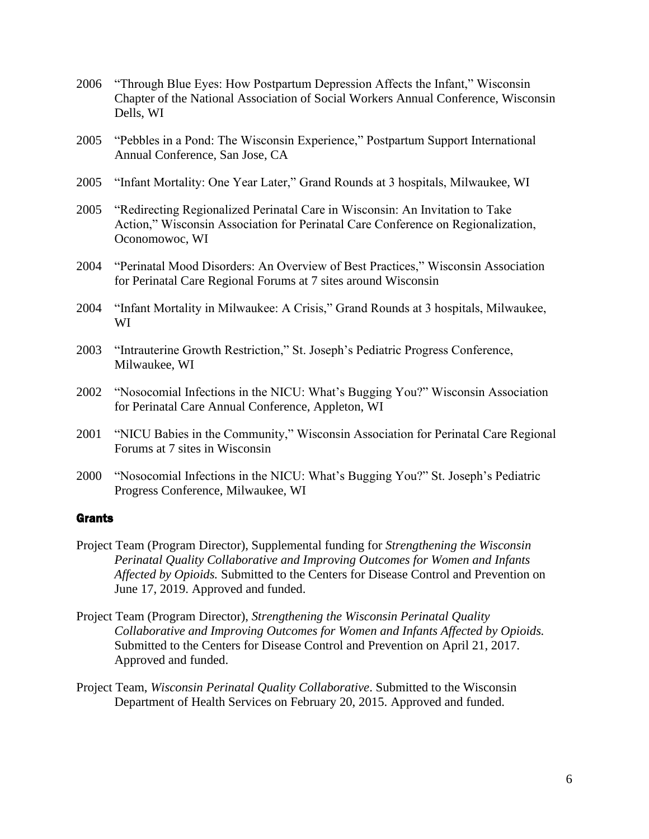- 2006 "Through Blue Eyes: How Postpartum Depression Affects the Infant," Wisconsin Chapter of the National Association of Social Workers Annual Conference, Wisconsin Dells, WI
- 2005 "Pebbles in a Pond: The Wisconsin Experience," Postpartum Support International Annual Conference, San Jose, CA
- 2005 "Infant Mortality: One Year Later," Grand Rounds at 3 hospitals, Milwaukee, WI
- 2005 "Redirecting Regionalized Perinatal Care in Wisconsin: An Invitation to Take Action," Wisconsin Association for Perinatal Care Conference on Regionalization, Oconomowoc, WI
- 2004 "Perinatal Mood Disorders: An Overview of Best Practices," Wisconsin Association for Perinatal Care Regional Forums at 7 sites around Wisconsin
- 2004 "Infant Mortality in Milwaukee: A Crisis," Grand Rounds at 3 hospitals, Milwaukee, WI
- 2003 "Intrauterine Growth Restriction," St. Joseph's Pediatric Progress Conference, Milwaukee, WI
- 2002 "Nosocomial Infections in the NICU: What's Bugging You?" Wisconsin Association for Perinatal Care Annual Conference, Appleton, WI
- 2001 "NICU Babies in the Community," Wisconsin Association for Perinatal Care Regional Forums at 7 sites in Wisconsin
- 2000 "Nosocomial Infections in the NICU: What's Bugging You?" St. Joseph's Pediatric Progress Conference, Milwaukee, WI

#### **Grants**

- Project Team (Program Director), Supplemental funding for *Strengthening the Wisconsin Perinatal Quality Collaborative and Improving Outcomes for Women and Infants Affected by Opioids.* Submitted to the Centers for Disease Control and Prevention on June 17, 2019. Approved and funded.
- Project Team (Program Director), *Strengthening the Wisconsin Perinatal Quality Collaborative and Improving Outcomes for Women and Infants Affected by Opioids.* Submitted to the Centers for Disease Control and Prevention on April 21, 2017. Approved and funded.
- Project Team, *Wisconsin Perinatal Quality Collaborative*. Submitted to the Wisconsin Department of Health Services on February 20, 2015. Approved and funded.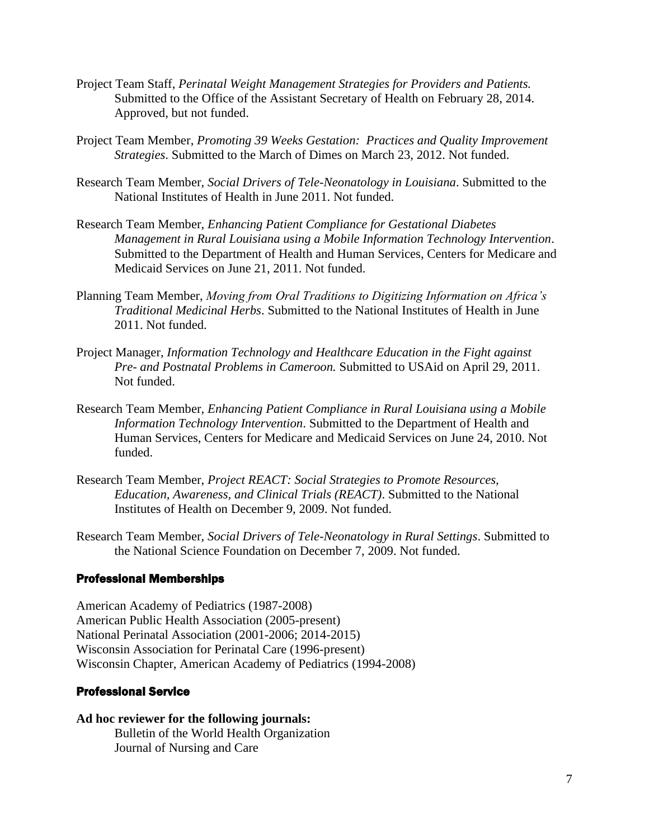- Project Team Staff, *Perinatal Weight Management Strategies for Providers and Patients.* Submitted to the Office of the Assistant Secretary of Health on February 28, 2014. Approved, but not funded.
- Project Team Member, *Promoting 39 Weeks Gestation: Practices and Quality Improvement Strategies*. Submitted to the March of Dimes on March 23, 2012. Not funded.
- Research Team Member, *Social Drivers of Tele-Neonatology in Louisiana*. Submitted to the National Institutes of Health in June 2011. Not funded.
- Research Team Member, *Enhancing Patient Compliance for Gestational Diabetes Management in Rural Louisiana using a Mobile Information Technology Intervention*. Submitted to the Department of Health and Human Services, Centers for Medicare and Medicaid Services on June 21, 2011. Not funded.
- Planning Team Member, *Moving from Oral Traditions to Digitizing Information on Africa's Traditional Medicinal Herbs*. Submitted to the National Institutes of Health in June 2011. Not funded.
- Project Manager, *Information Technology and Healthcare Education in the Fight against Pre- and Postnatal Problems in Cameroon.* Submitted to USAid on April 29, 2011. Not funded.
- Research Team Member, *Enhancing Patient Compliance in Rural Louisiana using a Mobile Information Technology Intervention*. Submitted to the Department of Health and Human Services, Centers for Medicare and Medicaid Services on June 24, 2010. Not funded.
- Research Team Member, *Project REACT: Social Strategies to Promote Resources, Education, Awareness, and Clinical Trials (REACT)*. Submitted to the National Institutes of Health on December 9, 2009. Not funded.
- Research Team Member, *Social Drivers of Tele-Neonatology in Rural Settings*. Submitted to the National Science Foundation on December 7, 2009. Not funded.

#### Professional Memberships

American Academy of Pediatrics (1987-2008) American Public Health Association (2005-present) National Perinatal Association (2001-2006; 2014-2015) Wisconsin Association for Perinatal Care (1996-present) Wisconsin Chapter, American Academy of Pediatrics (1994-2008)

#### Professional Service

**Ad hoc reviewer for the following journals:** Bulletin of the World Health Organization Journal of Nursing and Care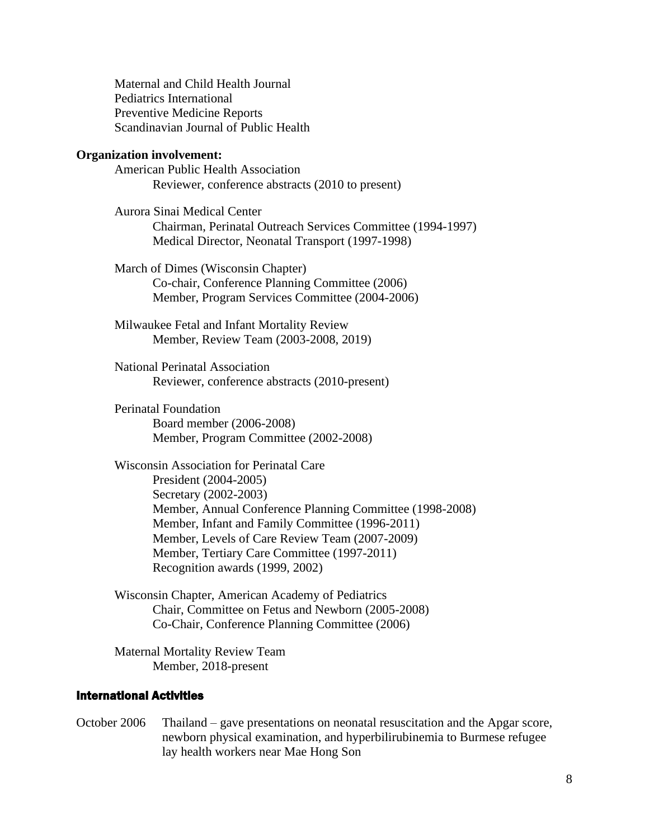Maternal and Child Health Journal Pediatrics International Preventive Medicine Reports Scandinavian Journal of Public Health

#### **Organization involvement:**

American Public Health Association Reviewer, conference abstracts (2010 to present)

Aurora Sinai Medical Center Chairman, Perinatal Outreach Services Committee (1994-1997) Medical Director, Neonatal Transport (1997-1998)

March of Dimes (Wisconsin Chapter) Co-chair, Conference Planning Committee (2006) Member, Program Services Committee (2004-2006)

Milwaukee Fetal and Infant Mortality Review Member, Review Team (2003-2008, 2019)

National Perinatal Association Reviewer, conference abstracts (2010-present)

Perinatal Foundation Board member (2006-2008) Member, Program Committee (2002-2008)

Wisconsin Association for Perinatal Care President (2004-2005) Secretary (2002-2003) Member, Annual Conference Planning Committee (1998-2008) Member, Infant and Family Committee (1996-2011) Member, Levels of Care Review Team (2007-2009) Member, Tertiary Care Committee (1997-2011) Recognition awards (1999, 2002)

Wisconsin Chapter, American Academy of Pediatrics Chair, Committee on Fetus and Newborn (2005-2008) Co-Chair, Conference Planning Committee (2006)

Maternal Mortality Review Team Member, 2018-present

## International Activities

October 2006 Thailand – gave presentations on neonatal resuscitation and the Apgar score, newborn physical examination, and hyperbilirubinemia to Burmese refugee lay health workers near Mae Hong Son